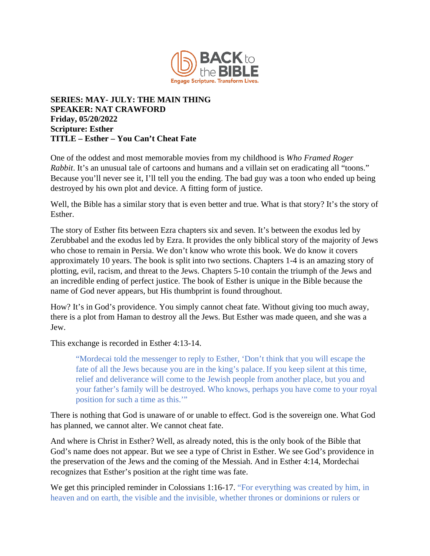

## **SERIES: MAY- JULY: THE MAIN THING SPEAKER: NAT CRAWFORD Friday, 05/20/2022 Scripture: Esther TITLE – Esther – You Can't Cheat Fate**

One of the oddest and most memorable movies from my childhood is *Who Framed Roger Rabbit*. It's an unusual tale of cartoons and humans and a villain set on eradicating all "toons." Because you'll never see it, I'll tell you the ending. The bad guy was a toon who ended up being destroyed by his own plot and device. A fitting form of justice.

Well, the Bible has a similar story that is even better and true. What is that story? It's the story of Esther.

The story of Esther fits between Ezra chapters six and seven. It's between the exodus led by Zerubbabel and the exodus led by Ezra. It provides the only biblical story of the majority of Jews who chose to remain in Persia. We don't know who wrote this book. We do know it covers approximately 10 years. The book is split into two sections. Chapters 1-4 is an amazing story of plotting, evil, racism, and threat to the Jews. Chapters 5-10 contain the triumph of the Jews and an incredible ending of perfect justice. The book of Esther is unique in the Bible because the name of God never appears, but His thumbprint is found throughout.

How? It's in God's providence. You simply cannot cheat fate. Without giving too much away, there is a plot from Haman to destroy all the Jews. But Esther was made queen, and she was a Jew.

This exchange is recorded in Esther 4:13-14.

"Mordecai told the messenger to reply to Esther, 'Don't think that you will escape the fate of all the Jews because you are in the king's palace.If you keep silent at this time, relief and deliverance will come to the Jewish people from another place, but you and your father's family will be destroyed. Who knows, perhaps you have come to your royal position for such a time as this.'"

There is nothing that God is unaware of or unable to effect. God is the sovereign one. What God has planned, we cannot alter. We cannot cheat fate.

And where is Christ in Esther? Well, as already noted, this is the only book of the Bible that God's name does not appear. But we see a type of Christ in Esther. We see God's providence in the preservation of the Jews and the coming of the Messiah. And in Esther 4:14, Mordechai recognizes that Esther's position at the right time was fate.

We get this principled reminder in Colossians 1:16-17. "For everything was created by him, in heaven and on earth, the visible and the invisible, whether thrones or dominions or rulers or